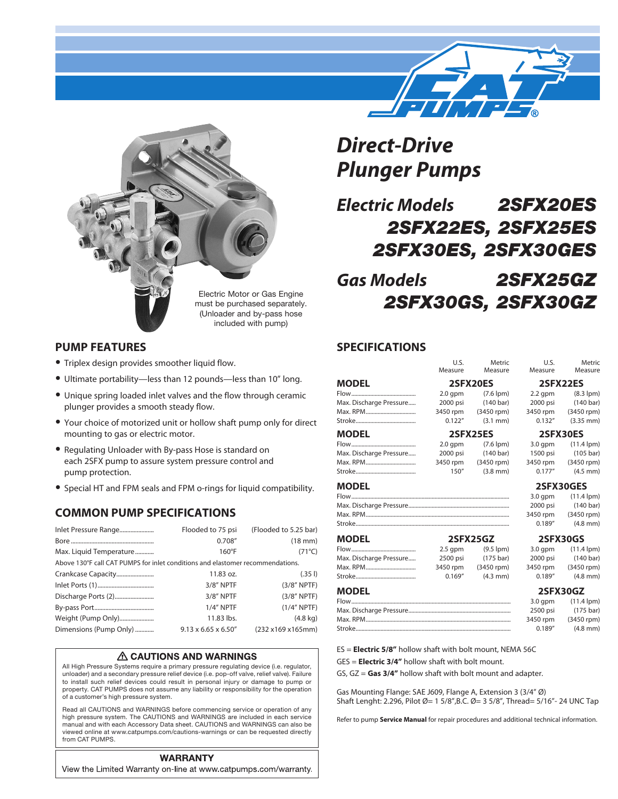



### **PUMP FEATURES**

- Triplex design provides smoother liquid flow.
- Ultimate portability—less than 12 pounds—less than 10" long.
- Unique spring loaded inlet valves and the flow through ceramic plunger provides a smooth steady flow.
- Your choice of motorized unit or hollow shaft pump only for direct mounting to gas or electric motor.
- Regulating Unloader with By-pass Hose is standard on each 2SFX pump to assure system pressure control and pump protection.
- Special HT and FPM seals and FPM o-rings for liquid compatibility.

# **COMMON PUMP SPECIFICATIONS**

| Inlet Pressure Range                                                           | Flooded to 75 psi                | (Flooded to 5.25 bar) |
|--------------------------------------------------------------------------------|----------------------------------|-----------------------|
|                                                                                | 0.708''                          | $(18 \text{ mm})$     |
| Max. Liquid Temperature                                                        | $160^{\circ}$ F                  | $(71^{\circ}C)$       |
| Above 130°F call CAT PUMPS for inlet conditions and elastomer recommendations. |                                  |                       |
| Crankcase Capacity                                                             | 11.83 oz.                        | (.351)                |
|                                                                                | $3/8"$ NPTF                      | $(3/8"$ NPTF)         |
| Discharge Ports (2)                                                            | 3/8" NPTF                        | $(3/8"$ NPTF)         |
|                                                                                | $1/4$ " NPTF                     | $(1/4"$ NPTF)         |
| Weight (Pump Only)                                                             | 11.83 lbs.                       | $(4.8 \text{ kg})$    |
| Dimensions (Pump Only)                                                         | $9.13 \times 6.65 \times 6.50$ " | (232 x169 x165mm)     |

#### △ CAUTIONS AND WARNINGS

All High Pressure Systems require a primary pressure regulating device (i.e. regulator, unloader) and a secondary pressure relief device (i.e. pop-off valve, relief valve). Failure to install such relief devices could result in personal injury or damage to pump or property. CAT PUMPS does not assume any liability or responsibility for the operation of a customer's high pressure system.

Read all CAUTIONS and WARNINGS before commencing service or operation of any high pressure system. The CAUTIONS and WARNINGS are included in each service manual and with each Accessory Data sheet. CAUTIONS and WARNINGS can also be viewed online at www.catpumps.com/cautions-warnings or can be requested directly from CAT PUMPS.

#### **WARRANTY**

View the Limited Warranty on-line at www.catpumps.com/warranty.

# *Direct-Drive Plunger Pumps*

*Electric Models 2SFX20ES 2SFX22ES, 2SFX25ES 2SFX30ES, 2SFX30GES*

# *Gas Models 2SFX25GZ 2SFX30GS, 2SFX30GZ*

#### **SPECIFICATIONS**

|                                                           | U.S.<br>Measure | Metric<br>Measure   | U.S.<br>Measure | Metric<br>Measure    |  |
|-----------------------------------------------------------|-----------------|---------------------|-----------------|----------------------|--|
| MODEL                                                     |                 | <b>2SFX20ES</b>     | <b>2SFX22ES</b> |                      |  |
|                                                           | $2.0$ qpm       | $(7.6$ lpm $)$      | $2.2$ qpm       | $(8.3$ lpm $)$       |  |
| Max. Discharge Pressure                                   | 2000 psi        | $(140 \text{ bar})$ | 2000 psi        | $(140 \text{ bar})$  |  |
|                                                           | 3450 rpm        | (3450 rpm)          | 3450 rpm        | (3450 rpm)           |  |
|                                                           | 0.122''         | $(3.1$ mm $)$       | 0.132''         | $(3.35$ mm $)$       |  |
| <b>MODEL</b>                                              |                 | 2SFX25ES            |                 | 2SFX30ES             |  |
|                                                           | $2.0$ gpm       | $(7.6$ lpm $)$      | $3.0$ gpm       | $(11.4 \text{ lpm})$ |  |
| Max. Discharge Pressure                                   | 2000 psi        | $(140 \text{ bar})$ | 1500 psi        | $(105 \text{ bar})$  |  |
|                                                           | 3450 rpm        | (3450 rpm)          | 3450 rpm        | (3450 rpm)           |  |
|                                                           | 150''           | $(3.8$ mm $)$       | 0.177''         | $(4.5$ mm $)$        |  |
| MODEL                                                     |                 |                     |                 | <b>2SFX30GES</b>     |  |
|                                                           |                 |                     | $3.0$ gpm       | $(11.4$ lpm $)$      |  |
|                                                           |                 |                     | 2000 psi        | $(140 \text{ bar})$  |  |
|                                                           |                 |                     | 3450 rpm        | (3450 rpm)           |  |
|                                                           |                 |                     | 0.189''         | $(4.8$ mm $)$        |  |
| MODEL                                                     |                 | 2SFX25GZ            |                 | 2SFX30GS             |  |
|                                                           | $2.5$ gpm       | $(9.5$ lpm)         | $3.0$ gpm       | $(11.4 \text{ lpm})$ |  |
| Max. Discharge Pressure                                   | 2500 psi        | $(175 \text{ bar})$ | 2000 psi        | $(140 \text{ bar})$  |  |
|                                                           | 3450 rpm        | (3450 rpm)          | 3450 rpm        | (3450 rpm)           |  |
|                                                           | 0.169''         | $(4.3$ mm $)$       | 0.189''         | $(4.8$ mm $)$        |  |
| MODEL                                                     |                 |                     |                 | 2SFX30GZ             |  |
|                                                           |                 |                     | $3.0$ gpm       | $(11.4$ lpm $)$      |  |
|                                                           |                 |                     | 2500 psi        | $(175 \text{ bar})$  |  |
|                                                           |                 |                     | 3450 rpm        | (3450 rpm)           |  |
|                                                           |                 |                     | 0.189''         | $(4.8$ mm $)$        |  |
|                                                           |                 |                     |                 |                      |  |
| ES = Electric 5/8" hollow shaft with bolt mount, NEMA 56C |                 |                     |                 |                      |  |
|                                                           |                 |                     |                 |                      |  |

GES = **Electric 3/4"** hollow shaft with bolt mount.

GS, GZ = **Gas 3/4"** hollow shaft with bolt mount and adapter.

Gas Mounting Flange: SAE J609, Flange A, Extension 3 (3/4" Ø) Shaft Lenght: 2.296, Pilot Ø= 1 5/8",B.C. Ø= 3 5/8", Thread= 5/16"- 24 UNC Tap

Refer to pump **Service Manual** for repair procedures and additional technical information.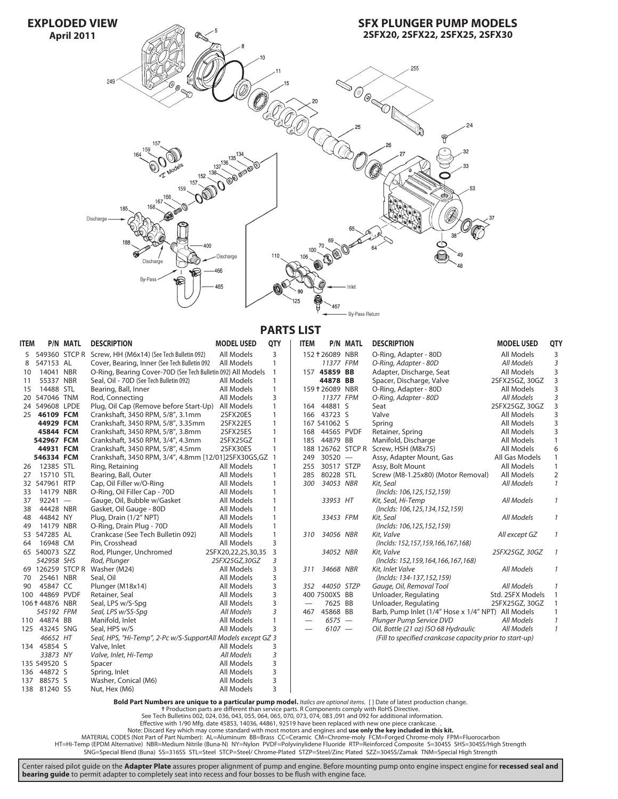

**PARTS LIST**

| <b>ITEM</b> |                  | <b>P/N MATL</b> | <b>DESCRIPTION</b>                                           | <b>MODEL USED</b>  | QTY          | <b>ITEM</b> |                 | <b>P/N MATL</b>   | <b>DESCRIPTION</b>                                       | <b>MODEL USED</b> | QTY           |
|-------------|------------------|-----------------|--------------------------------------------------------------|--------------------|--------------|-------------|-----------------|-------------------|----------------------------------------------------------|-------------------|---------------|
| 5           |                  |                 | 549360 STCP R Screw, HH (M6x14) (See Tech Bulletin 092)      | All Models         | 3            |             | 152 + 26089 NBR |                   | O-Ring, Adapter - 80D                                    | <b>All Models</b> | 3             |
| 8           | 547153 AL        |                 | Cover, Bearing, Inner (See Tech Bulletin 092                 | All Models         | $\mathbf{1}$ |             | 11377 FPM       |                   | O-Ring, Adapter - 80D                                    | All Models        | 3             |
| 10          | 14041 NBR        |                 | O-Ring, Bearing Cover-70D (See Tech Bulletin 092) All Models |                    | 1            |             | 157 45859 BB    |                   | Adapter, Discharge, Seat                                 | All Models        | 3             |
| 11          | 55337 NBR        |                 | Seal, Oil - 70D (See Tech Bulletin 092)                      | All Models         | $\mathbf{1}$ |             | 44878 BB        |                   | Spacer, Discharge, Valve                                 | 2SFX25GZ, 30GZ    | 3             |
| 15          | 14488 STL        |                 | Bearing, Ball, Inner                                         | All Models         | $\mathbf{1}$ |             | 159 † 26089 NBR |                   | O-Ring, Adapter - 80D                                    | All Models        | 3             |
|             | 20 547046 TNM    |                 | Rod, Connecting                                              | All Models         | 3            |             | 11377 FPM       |                   | O-Ring, Adapter - 80D                                    | All Models        | 3             |
|             | 24 549608 LPDE   |                 | Plug, Oil Cap (Remove before Start-Up)                       | All Models         | 1            |             | 164 44881 S     |                   | Seat                                                     | 2SFX25GZ, 30GZ    | 3             |
| 25          | 46109 FCM        |                 | Crankshaft, 3450 RPM, 5/8", 3.1mm                            | 2SFX20ES           | 1            |             | 166 43723 S     |                   | Valve                                                    | <b>All Models</b> | 3             |
|             | 44929 FCM        |                 | Crankshaft, 3450 RPM, 5/8", 3.35mm                           | 2SFX22ES           | 1            |             | 167 541062 S    |                   | Spring                                                   | <b>All Models</b> | 3             |
|             | 45844 FCM        |                 | Crankshaft, 3450 RPM, 5/8", 3.8mm                            | 2SFX25ES           | $\mathbf{1}$ | 168         | 44565 PVDF      |                   | Retainer, Spring                                         | All Models        | 3             |
|             | 542967 FCM       |                 | Crankshaft, 3450 RPM, 3/4", 4.3mm                            | 2SFX25GZ           | $\mathbf{1}$ | 185         | 44879 BB        |                   | Manifold, Discharge                                      | All Models        | $\mathbf{1}$  |
|             | 44931 FCM        |                 | Crankshaft, 3450 RPM, 5/8", 4.5mm                            | 2SFX30ES           | $\mathbf{1}$ |             |                 | 188 126762 STCP R | Screw, HSH (M8x75)                                       | All Models        | 6             |
|             | 546334 FCM       |                 | Crankshaft, 3450 RPM, 3/4", 4.8mm [12/01]2SFX30GS, GZ        |                    | $\mathbf{1}$ | 249         | $30520 -$       |                   | Assy, Adapter Mount, Gas                                 | All Gas Models    | 1             |
| 26          | 12385 STL        |                 | Ring, Retaining                                              | All Models         | 1            | 255         | 30517 STZP      |                   | Assy, Bolt Mount                                         | All Models        | $\mathbf{1}$  |
| 27          | 15710 STL        |                 | Bearing, Ball, Outer                                         | All Models         | 1            | 285         | 80228 STL       |                   | Screw (M8-1.25x80) (Motor Removal)                       | All Models        | 2             |
|             | 32 547961 RTP    |                 | Cap, Oil Filler w/O-Ring                                     | All Models         | $\mathbf{1}$ | 300         | 34053 NBR       |                   | Kit, Seal                                                | All Models        | $\mathcal{I}$ |
| 33          | 14179 NBR        |                 | O-Ring, Oil Filler Cap - 70D                                 | All Models         | $\mathbf{1}$ |             |                 |                   | (Inclds: 106, 125, 152, 159)                             |                   |               |
| 37          | $92241 -$        |                 | Gauge, Oil, Bubble w/Gasket                                  | All Models         | $\mathbf{1}$ |             | 33953 HT        |                   | Kit, Seal, Hi-Temp                                       | All Models        | $\mathcal{I}$ |
| 38          | 44428 NBR        |                 | Gasket, Oil Gauge - 80D                                      | All Models         | $\mathbf{1}$ |             |                 |                   | (Inclds: 106, 125, 134, 152, 159)                        |                   |               |
| 48          | 44842 NY         |                 | Plug, Drain (1/2" NPT)                                       | All Models         | $\mathbf{1}$ |             | 33453 FPM       |                   | Kit, Seal                                                | All Models        | $\mathcal{I}$ |
| 49          | 14179 NBR        |                 | O-Ring, Drain Plug - 70D                                     | All Models         | $\mathbf{1}$ |             |                 |                   | (Inclds: 106, 125, 152, 159)                             |                   |               |
|             | 53 547285 AL     |                 | Crankcase (See Tech Bulletin 092)                            | All Models         | $\mathbf{1}$ | 310         | 34056 NBR       |                   | Kit. Valve                                               | All except GZ     | $\mathcal{I}$ |
| 64          | 16948 CM         |                 | Pin, Crosshead                                               | All Models         | 3            |             |                 |                   | (Inclds: 152, 157, 159, 166, 167, 168)                   |                   |               |
|             | 65 540073 SZZ    |                 | Rod, Plunger, Unchromed                                      | 2SFX20,22,25,30,35 | 3            |             | 34052 NBR       |                   | Kit, Valve                                               | 2SFX25GZ, 30GZ    | $\mathcal{I}$ |
|             | 542958 SHS       |                 | Rod, Plunger                                                 | 2SFX25GZ,30GZ      | 3            |             |                 |                   | (Inclds: 152, 159, 164, 166, 167, 168)                   |                   |               |
|             | 69 126259 STCP R |                 | Washer (M24)                                                 | All Models         | 3            | 311         | 34668 NBR       |                   | Kit, Inlet Valve                                         | All Models        | $\mathcal{I}$ |
| 70          | 25461 NBR        |                 | Seal, Oil                                                    | All Models         | 3            |             |                 |                   | (Inclds: 134-137,152,159)                                |                   |               |
| 90          | 45847 CC         |                 | Plunger (M18x14)                                             | All Models         | 3            | 352         | 44050 STZP      |                   | Gauge, Oil, Removal Tool                                 | All Models        | $\mathcal{I}$ |
| 100         | 44869 PVDF       |                 | Retainer, Seal                                               | All Models         | 3            |             | 400 7500XS BB   |                   | Unloader, Regulating                                     | Std. 2SFX Models  | $\mathbf{1}$  |
|             | 106†44876 NBR    |                 | Seal, LPS w/S-Spg                                            | All Models         | 3            |             | 7625 BB         |                   | Unloader, Regulating                                     | 2SFX25GZ, 30GZ    | $\mathbf{1}$  |
|             | 545192 FPM       |                 | Seal, LPS w/SS-Spg                                           | All Models         | 3            | 467         | 45868 BB        |                   | Barb, Pump Inlet (1/4" Hose x 1/4" NPT) All Models       |                   | 1             |
|             | 110 44874 BB     |                 | Manifold, Inlet                                              | All Models         | 1            |             | $6575 -$        |                   | Plunger Pump Service DVD                                 | All Models        | $\mathcal{I}$ |
|             | 125 43245 SNG    |                 | Seal, HPS w/S                                                | All Models         | 3            |             | $6107 -$        |                   | Oil, Bottle (21 oz) ISO 68 Hydraulic                     | All Models        | $\mathcal{I}$ |
|             | 46652 HT         |                 | Seal, HPS, "Hi-Temp", 2-Pc w/S-SupportAll Models except GZ 3 |                    |              |             |                 |                   | (Fill to specified crankcase capacity prior to start-up) |                   |               |
|             | 134 45854 S      |                 | Valve, Inlet                                                 | All Models         | 3            |             |                 |                   |                                                          |                   |               |
|             | 33873 NY         |                 | Valve, Inlet, Hi-Temp                                        | All Models         | 3            |             |                 |                   |                                                          |                   |               |
|             | 135 549520 S     |                 | Spacer                                                       | All Models         | 3            |             |                 |                   |                                                          |                   |               |
|             | 136 44872 S      |                 | Spring, Inlet                                                | All Models         | 3            |             |                 |                   |                                                          |                   |               |
| 137         | 88575 S          |                 | Washer, Conical (M6)                                         | All Models         | 3            |             |                 |                   |                                                          |                   |               |
|             | 138 81240 SS     |                 | Nut, Hex (M6)                                                | All Models         | 3            |             |                 |                   |                                                          |                   |               |

**Bold Part Numbers are unique to a particular pump model.** *Italics are optional items*. [] Date of latest production change.<br>Throduction parts are different than service parts. R Components comply with RoHS Directive.<br>See

. . Effective with 1/90 Mfg. date 45853, 14036, 44861, 92519 have been replaced with new one piece crankcase.<br>Note: Discard Key which may come standard with most crotors and engines and **use only the key included in this k** 

Center raised pilot guide on the **Adapter Plate** assures proper alignment of pump and engine. Before mounting pump onto engine inspect engine for **recessed seal and bearing guide** to permit adapter to completely seat into recess and four bosses to be flush with engine face.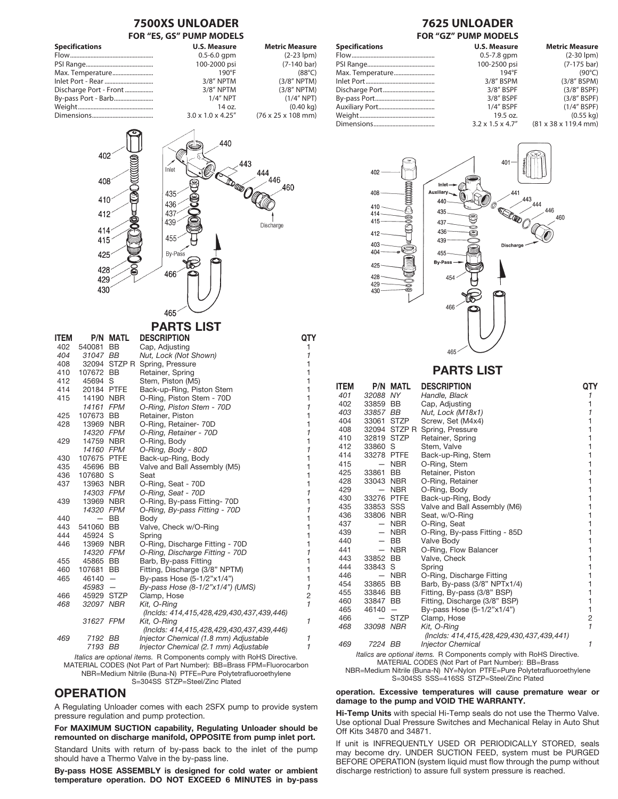

NBR=Medium Nitrile (Buna-N) PTFE=Pure Polytetrafluoroethylene S=304SS STZP=Steel/Zinc Plated

#### **OPERATION**

A Regulating Unloader comes with each 2SFX pump to provide system pressure regulation and pump protection.

For MAXIMUM SUCTION capability, Regulating Unloader should be remounted on discharge manifold, OPPOSITE from pump inlet port.

Standard Units with return of by-pass back to the inlet of the pump should have a Thermo Valve in the by-pass line.

By-pass HOSE ASSEMBLY is designed for cold water or ambient temperature operation. DO NOT EXCEED 6 MINUTES in by-pass

S=304SS SSS=416SS STZP=Steel/Zinc Plated operation. Excessive temperatures will cause premature wear or damage to the pump and VOID THE WARRANTY.

Hi-Temp Units with special Hi-Temp seals do not use the Thermo Valve. Use optional Dual Pressure Switches and Mechanical Relay in Auto Shut Off Kits 34870 and 34871.

If unit is INFREQUENTLY USED OR PERIODICALLY STORED, seals may become dry. UNDER SUCTION FEED, system must be PURGED BEFORE OPERATION (system liquid must flow through the pump without discharge restriction) to assure full system pressure is reached.